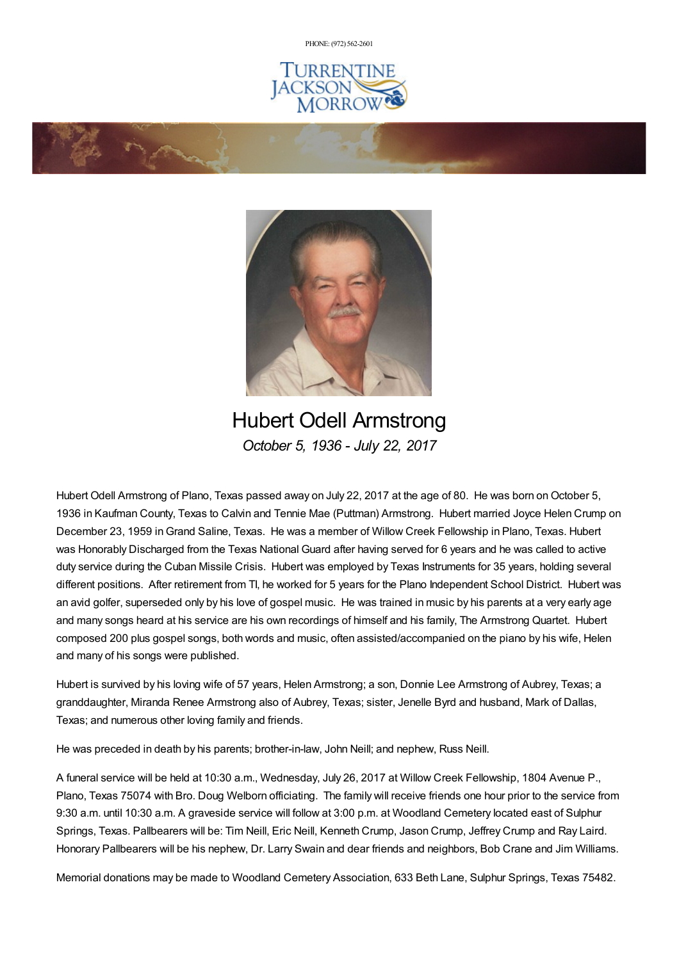PHONE: (972) [562-2601](tel:(972) 562-2601)





Hubert Odell Armstrong *October 5, 1936 - July 22, 2017*

Hubert Odell Armstrong of Plano, Texas passed away on July 22, 2017 at the age of 80. He was born on October 5, 1936 in Kaufman County, Texas to Calvin and Tennie Mae (Puttman) Armstrong. Hubert married Joyce Helen Crump on December 23, 1959 inGrand Saline, Texas. He was a member of Willow Creek Fellowship in Plano, Texas. Hubert was Honorably Discharged from the Texas National Guard after having served for 6 years and he was called to active duty service during the Cuban Missile Crisis. Hubert was employed by Texas Instruments for 35 years, holding several different positions. After retirement from TI, he worked for 5 years for the Plano Independent School District. Hubert was an avid golfer, superseded only by his love of gospel music. He was trained in music by his parents at a very early age and many songs heard at his service are his own recordings of himself and his family, The Armstrong Quartet. Hubert composed 200 plus gospel songs, both words and music, often assisted/accompanied on the piano by his wife, Helen and many of his songs were published.

Hubert is survived by his loving wife of 57 years, Helen Armstrong; a son, Donnie Lee Armstrong of Aubrey, Texas; a granddaughter, Miranda Renee Armstrong also of Aubrey, Texas; sister, Jenelle Byrd and husband, Mark of Dallas, Texas; and numerous other loving family and friends.

He was preceded in death by his parents; brother-in-law, John Neill; and nephew, Russ Neill.

A funeral service will be held at 10:30 a.m., Wednesday, July 26, 2017 at Willow Creek Fellowship, 1804 Avenue P., Plano, Texas 75074 with Bro. Doug Welborn officiating. The family will receive friends one hour prior to the service from 9:30 a.m. until 10:30 a.m. A graveside service will follow at 3:00 p.m. at Woodland Cemetery located east of Sulphur Springs, Texas. Pallbearers will be: Tim Neill, Eric Neill, Kenneth Crump, Jason Crump, Jeffrey Crump and Ray Laird. Honorary Pallbearers will be his nephew, Dr. Larry Swain and dear friends and neighbors, Bob Crane and Jim Williams.

Memorial donations may be made to Woodland Cemetery Association, 633 Beth Lane, Sulphur Springs, Texas 75482.